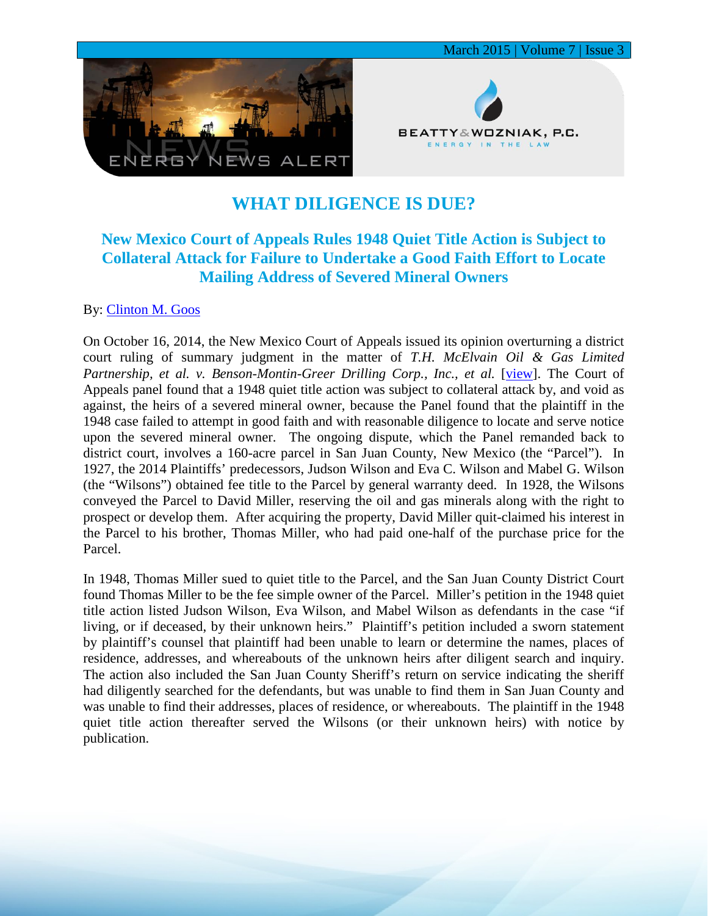

## **WHAT DILIGENCE IS DUE?**

## **New Mexico Court of Appeals Rules 1948 Quiet Title Action is Subject to Collateral Attack for Failure to Undertake a Good Faith Effort to Locate Mailing Address of Severed Mineral Owners**

## By: [Clinton M. Goos](http://www.bwenergylaw.com/#!clinton-goos/c1q0d)

On October 16, 2014, the New Mexico Court of Appeals issued its opinion overturning a district court ruling of summary judgment in the matter of *T.H. McElvain Oil & Gas Limited*  Partnership, et al. v. Benson-Montin-Greer Drilling Corp., Inc., et al. [\[view\]](http://cases.justia.com/new-mexico/court-of-appeals/2014-32-666.pdf?ts=1413495957). The Court of Appeals panel found that a 1948 quiet title action was subject to collateral attack by, and void as against, the heirs of a severed mineral owner, because the Panel found that the plaintiff in the 1948 case failed to attempt in good faith and with reasonable diligence to locate and serve notice upon the severed mineral owner. The ongoing dispute, which the Panel remanded back to district court, involves a 160-acre parcel in San Juan County, New Mexico (the "Parcel"). In 1927, the 2014 Plaintiffs' predecessors, Judson Wilson and Eva C. Wilson and Mabel G. Wilson (the "Wilsons") obtained fee title to the Parcel by general warranty deed. In 1928, the Wilsons conveyed the Parcel to David Miller, reserving the oil and gas minerals along with the right to prospect or develop them. After acquiring the property, David Miller quit-claimed his interest in the Parcel to his brother, Thomas Miller, who had paid one-half of the purchase price for the Parcel.

In 1948, Thomas Miller sued to quiet title to the Parcel, and the San Juan County District Court found Thomas Miller to be the fee simple owner of the Parcel. Miller's petition in the 1948 quiet title action listed Judson Wilson, Eva Wilson, and Mabel Wilson as defendants in the case "if living, or if deceased, by their unknown heirs." Plaintiff's petition included a sworn statement by plaintiff's counsel that plaintiff had been unable to learn or determine the names, places of residence, addresses, and whereabouts of the unknown heirs after diligent search and inquiry. The action also included the San Juan County Sheriff's return on service indicating the sheriff had diligently searched for the defendants, but was unable to find them in San Juan County and was unable to find their addresses, places of residence, or whereabouts. The plaintiff in the 1948 quiet title action thereafter served the Wilsons (or their unknown heirs) with notice by publication.